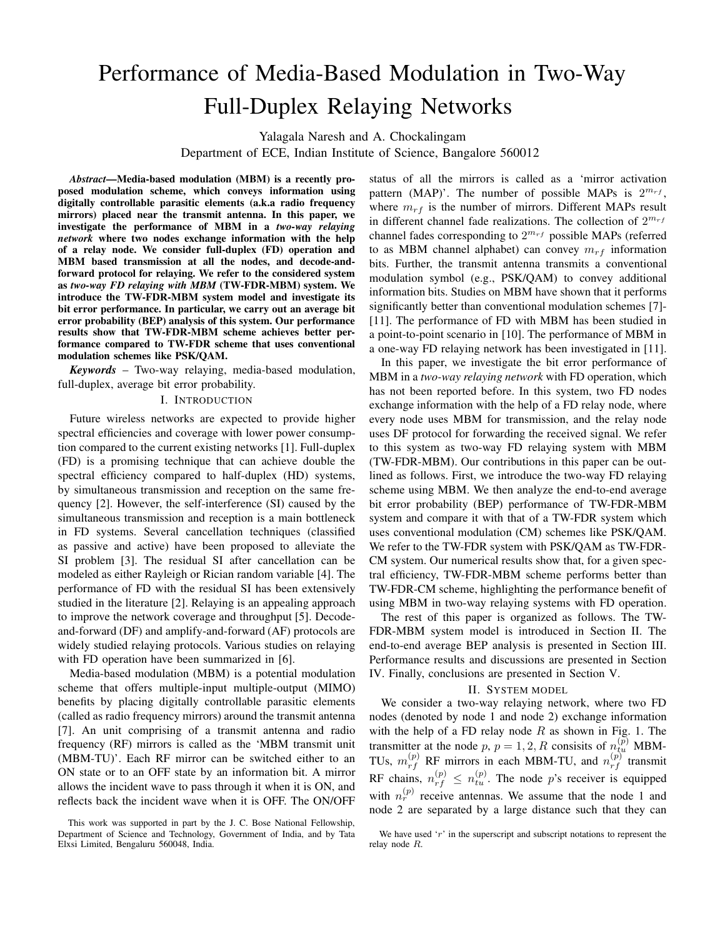# Performance of Media-Based Modulation in Two-Way Full-Duplex Relaying Networks

Yalagala Naresh and A. Chockalingam

Department of ECE, Indian Institute of Science, Bangalore 560012

*Abstract*—Media-based modulation (MBM) is a recently proposed modulation scheme, which conveys information using digitally controllable parasitic elements (a.k.a radio frequency mirrors) placed near the transmit antenna. In this paper, we investigate the performance of MBM in a *two-way relaying network* where two nodes exchange information with the help of a relay node. We consider full-duplex (FD) operation and MBM based transmission at all the nodes, and decode-andforward protocol for relaying. We refer to the considered system as *two-way FD relaying with MBM* (TW-FDR-MBM) system. We introduce the TW-FDR-MBM system model and investigate its bit error performance. In particular, we carry out an average bit error probability (BEP) analysis of this system. Our performance results show that TW-FDR-MBM scheme achieves better performance compared to TW-FDR scheme that uses conventional modulation schemes like PSK/QAM.

*Keywords* – Two-way relaying, media-based modulation, full-duplex, average bit error probability.

#### I. INTRODUCTION

Future wireless networks are expected to provide higher spectral efficiencies and coverage with lower power consumption compared to the current existing networks [1]. Full-duplex (FD) is a promising technique that can achieve double the spectral efficiency compared to half-duplex (HD) systems, by simultaneous transmission and reception on the same frequency [2]. However, the self-interference (SI) caused by the simultaneous transmission and reception is a main bottleneck in FD systems. Several cancellation techniques (classified as passive and active) have been proposed to alleviate the SI problem [3]. The residual SI after cancellation can be modeled as either Rayleigh or Rician random variable [4]. The performance of FD with the residual SI has been extensively studied in the literature [2]. Relaying is an appealing approach to improve the network coverage and throughput [5]. Decodeand-forward (DF) and amplify-and-forward (AF) protocols are widely studied relaying protocols. Various studies on relaying with FD operation have been summarized in [6].

Media-based modulation (MBM) is a potential modulation scheme that offers multiple-input multiple-output (MIMO) benefits by placing digitally controllable parasitic elements (called as radio frequency mirrors) around the transmit antenna [7]. An unit comprising of a transmit antenna and radio frequency (RF) mirrors is called as the 'MBM transmit unit (MBM-TU)'. Each RF mirror can be switched either to an ON state or to an OFF state by an information bit. A mirror allows the incident wave to pass through it when it is ON, and reflects back the incident wave when it is OFF. The ON/OFF

status of all the mirrors is called as a 'mirror activation pattern (MAP)'. The number of possible MAPs is  $2^{m_{rf}}$ , where  $m_{rf}$  is the number of mirrors. Different MAPs result in different channel fade realizations. The collection of  $2^{m_{rf}}$ channel fades corresponding to  $2^{m_{rf}}$  possible MAPs (referred to as MBM channel alphabet) can convey  $m_{rf}$  information bits. Further, the transmit antenna transmits a conventional modulation symbol (e.g., PSK/QAM) to convey additional information bits. Studies on MBM have shown that it performs significantly better than conventional modulation schemes [7]- [11]. The performance of FD with MBM has been studied in a point-to-point scenario in [10]. The performance of MBM in a one-way FD relaying network has been investigated in [11].

In this paper, we investigate the bit error performance of MBM in a *two-way relaying network* with FD operation, which has not been reported before. In this system, two FD nodes exchange information with the help of a FD relay node, where every node uses MBM for transmission, and the relay node uses DF protocol for forwarding the received signal. We refer to this system as two-way FD relaying system with MBM (TW-FDR-MBM). Our contributions in this paper can be outlined as follows. First, we introduce the two-way FD relaying scheme using MBM. We then analyze the end-to-end average bit error probability (BEP) performance of TW-FDR-MBM system and compare it with that of a TW-FDR system which uses conventional modulation (CM) schemes like PSK/QAM. We refer to the TW-FDR system with PSK/QAM as TW-FDR-CM system. Our numerical results show that, for a given spectral efficiency, TW-FDR-MBM scheme performs better than TW-FDR-CM scheme, highlighting the performance benefit of using MBM in two-way relaying systems with FD operation.

The rest of this paper is organized as follows. The TW-FDR-MBM system model is introduced in Section II. The end-to-end average BEP analysis is presented in Section III. Performance results and discussions are presented in Section IV. Finally, conclusions are presented in Section V.

#### II. SYSTEM MODEL

We consider a two-way relaying network, where two FD nodes (denoted by node 1 and node 2) exchange information with the help of a FD relay node  $R$  as shown in Fig. 1. The transmitter at the node p,  $p = 1, 2, R$  consisits of  $n_{tu}^{(p)}$  MBM-TUs,  $m_{rf}^{(p)}$  RF mirrors in each MBM-TU, and  $n_{rf}^{(p)}$  transmit RF chains,  $n_{rf}^{(p)} \le n_{tu}^{(p)}$ . The node p's receiver is equipped with  $n_r^{(p)}$  receive antennas. We assume that the node 1 and node 2 are separated by a large distance such that they can

This work was supported in part by the J. C. Bose National Fellowship, Department of Science and Technology, Government of India, and by Tata Elxsi Limited, Bengaluru 560048, India.

We have used  $'r'$  in the superscript and subscript notations to represent the relay node R.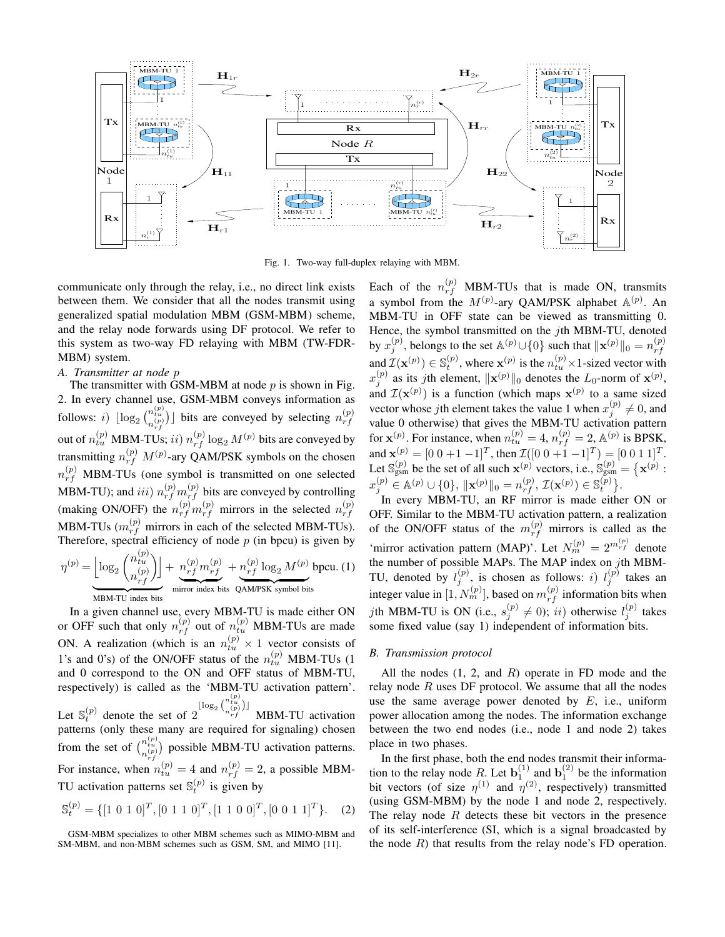

Fig. 1. Two-way full-duplex relaying with MBM.

communicate only through the relay, i.e., no direct link exists between them. We consider that all the nodes transmit using generalized spatial modulation MBM (GSM-MBM) scheme, and the relay node forwards using DF protocol. We refer to this system as two-way FD relaying with MBM (TW-FDR-MBM) system.

## *A. Transmitter at node* p

The transmitter with GSM-MBM at node  $p$  is shown in Fig. 2. In every channel use, GSM-MBM conveys information as follows: *i*)  $\lfloor \log_2 \binom{n_{tu}^{(p)}}{n_{vt}^{(p)}} \rfloor$  bits are conveyed by selecting  $n_{rf}^{(p)}$ out of  $n_{tu}^{(p)}$  MBM-TUs; *ii*)  $n_{rf}^{(p)} \log_2 M^{(p)}$  bits are conveyed by rf transmitting  $n_{rf}^{(p)}$   $M^{(p)}$ -ary QAM/PSK symbols on the chosen  $n_{rf}^{(p)}$  MBM-TUs (one symbol is transmitted on one selected MBM-TU); and  $iii)$   $n_{rf}^{(p)} m_{rf}^{(p)}$  bits are conveyed by controlling (making ON/OFF) the  $n_{rf}^{(p)} m_{rf}^{(p)}$  mirrors in the selected  $n_{rf}^{(p)}$ rf MBM-TUs  $(m_{rf}^{(p)}$  mirrors in each of the selected MBM-TUs). Therefore, spectral efficiency of node  $p$  (in bpcu) is given by  $\eta^{(p)} = \Big|\log_2\binom{n_{tu}^{(p)}}{\left\lfloor (p)\right\rfloor}$  $n_{rf}^{(p)}$ rf  $\overline{\phantom{a}}$  $+ n_{rf}^{(p)} m_{rf}^{(p)}$ rf mirror index bits  $+ n_{rf}^{(p)} \log_2 M^{(p)}$ QAM/PSK symbol bits bpcu. (1)

| {z } MBM-TU index bits

In a given channel use, every MBM-TU is made either ON or OFF such that only  $n_{rf}^{(p)}$  out of  $n_{tu}^{(p)}$  MBM-TUs are made ON. A realization (which is an  $n_{tu}^{(p)} \times 1$  vector consists of 1's and 0's) of the ON/OFF status of the  $n_{tu}^{(p)}$  MBM-TUs (1) and 0 correspond to the ON and OFF status of MBM-TU, respectively) is called as the 'MBM-TU activation pattern'. Let  $\mathbb{S}_t^{(p)}$  denote the set of 2  $\lfloor \log_2 {n \nt_{tu}^{(p)} \choose n_{rf}^{(p)}} \rfloor$ MBM-TU activation patterns (only these many are required for signaling) chosen from the set of  $\binom{n_{tu}^{(p)}}{n_{rt}^{(p)}}$  possible MBM-TU activation patterns. For instance, when  $n_{tu}^{(p)} = 4$  and  $n_{rf}^{(p)} = 2$ , a possible MBM-TU activation patterns set  $\mathbb{S}_t^{(p)}$  is given by

$$
\mathbb{S}_t^{(p)} = \{ [1 \ 0 \ 1 \ 0]^T, [0 \ 1 \ 1 \ 0]^T, [1 \ 1 \ 0 \ 0]^T, [0 \ 0 \ 1 \ 1]^T \}. \tag{2}
$$

Each of the  $n_{rf}^{(p)}$  MBM-TUs that is made ON, transmits a symbol from the  $M^{(p)}$ -ary QAM/PSK alphabet  $\mathbb{A}^{(p)}$ . An MBM-TU in OFF state can be viewed as transmitting 0. Hence, the symbol transmitted on the jth MBM-TU, denoted by  $x_j^{(p)}$ , belongs to the set  $\mathbb{A}^{(p)} \cup \{0\}$  such that  $\|\mathbf{x}^{(p)}\|_0 = n_{rf}^{(p)}$ rf and  $\mathcal{I}(\mathbf{x}^{(p)}) \in \mathbb{S}_t^{(p)}$ , where  $\mathbf{x}^{(p)}$  is the  $n_{tu}^{(p)} \times 1$ -sized vector with  $x_j^{(p)}$  as its jth element,  $\|\mathbf{x}^{(p)}\|_0$  denotes the  $L_0$ -norm of  $\mathbf{x}^{(p)}$ , and  $\mathcal{I}(\mathbf{x}^{(p)})$  is a function (which maps  $\mathbf{x}^{(p)}$  to a same sized vector whose jth element takes the value 1 when  $x_i^{(p)}$  $j^{(p)} \neq 0$ , and value 0 otherwise) that gives the MBM-TU activation pattern for  $\mathbf{x}^{(p)}$ . For instance, when  $n_{tu}^{(p)} = 4$ ,  $n_{rf}^{(p)} = 2$ ,  $\mathbb{A}^{(p)}$  is BPSK, and  $\mathbf{x}^{(p)} = [0 \ 0 \ +1 \ -1]^T$ , then  $\mathcal{I}([0 \ 0 \ +1 \ -1]^T) = [0 \ 0 \ 1 \ 1]^T$ . Let  $\mathbb{S}_{\text{gsm}}^{(p)}$  be the set of all such  $\mathbf{x}^{(p)}$  vectors, i.e.,  $\mathbb{S}_{\text{gsm}}^{(p)} = \{ \mathbf{x}^{(p)} :$  $x_j^{(p)} \in \mathbb{A}^{(p)} \cup \{0\}, \, \|\mathbf{x}^{(p)}\|_0 = n_{rf}^{(p)}, \, \mathcal{I}(\mathbf{x}^{(p)}) \in \mathbb{S}_t^{(p)}\}.$ 

In every MBM-TU, an RF mirror is made either ON or OFF. Similar to the MBM-TU activation pattern, a realization of the ON/OFF status of the  $m_{rf}^{(p)}$  mirrors is called as the 'mirror activation pattern (MAP)'. Let  $N_m^{(p)} = 2^{m_{rf}^{(p)}}$  denote the number of possible MAPs. The MAP index on jth MBM-TU, denoted by  $l_j^{(p)}$ , is chosen as follows: i)  $l_j^{(p)}$  takes an integer value in  $[1, N_m^{(p)}]$ , based on  $m_{rf}^{(p)}$  information bits when *j*th MBM-TU is ON (i.e.,  $s_i^{(p)}$ )  $j^{(p)}(j \neq 0)$ ; ii) otherwise  $l_j^{(p)}$  $j^{(p)}$  takes some fixed value (say 1) independent of information bits.

## *B. Transmission protocol*

All the nodes  $(1, 2, \text{ and } R)$  operate in FD mode and the relay node  $R$  uses DF protocol. We assume that all the nodes use the same average power denoted by  $E$ , i.e., uniform power allocation among the nodes. The information exchange between the two end nodes (i.e., node 1 and node 2) takes place in two phases.

In the first phase, both the end nodes transmit their information to the relay node R. Let  $\mathbf{b}_1^{(1)}$  and  $\mathbf{b}_1^{(2)}$  be the information bit vectors (of size  $\eta^{(1)}$  and  $\eta^{(2)}$ , respectively) transmitted (using GSM-MBM) by the node 1 and node 2, respectively. The relay node  $R$  detects these bit vectors in the presence of its self-interference (SI, which is a signal broadcasted by the node  $R$ ) that results from the relay node's FD operation.

GSM-MBM specializes to other MBM schemes such as MIMO-MBM and SM-MBM, and non-MBM schemes such as GSM, SM, and MIMO [11].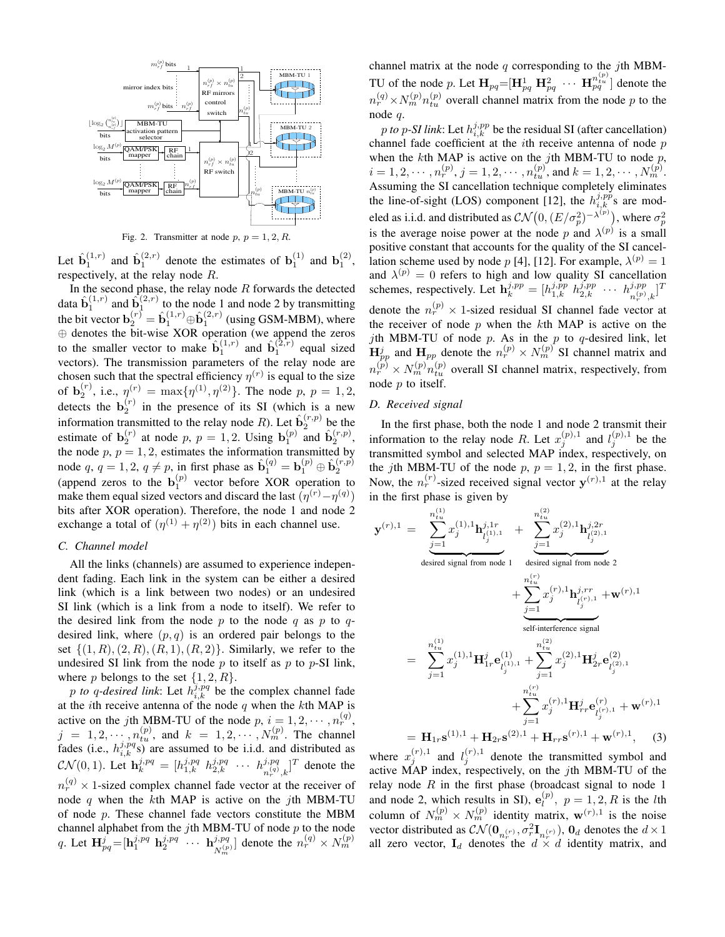

Fig. 2. Transmitter at node  $p, p = 1, 2, R$ .

Let  $\hat{\mathbf{b}}_1^{(1,r)}$  and  $\hat{\mathbf{b}}_1^{(2,r)}$  denote the estimates of  $\mathbf{b}_1^{(1)}$  and  $\mathbf{b}_1^{(2)}$ , respectively, at the relay node R.

In the second phase, the relay node  $R$  forwards the detected data  $\hat{\mathbf{b}}_1^{(1,r)}$  and  $\hat{\mathbf{b}}_1^{(2,r)}$  to the node 1 and node 2 by transmitting the bit vector  $\mathbf{b}_2^{(r)} = \hat{\mathbf{b}}_1^{(1,r)} \oplus \hat{\mathbf{b}}_1^{(2,r)}$  (using GSM-MBM), where ⊕ denotes the bit-wise XOR operation (we append the zeros to the smaller vector to make  $\hat{\mathbf{b}}_1^{(1,r)}$  and  $\hat{\mathbf{b}}_1^{(\overline{2},r)}$  equal sized vectors). The transmission parameters of the relay node are chosen such that the spectral efficiency  $\eta^{(r)}$  is equal to the size of  $\mathbf{b}_2^{(r)}$ , i.e.,  $\eta^{(r)} = \max\{\eta^{(1)}, \eta^{(2)}\}$ . The node p,  $p = 1, 2$ , detects the  $\mathbf{b}_2^{(r)}$  in the presence of its SI (which is a new information transmitted to the relay node R). Let  $\hat{\mathbf{b}}_2^{(r,p)}$  be the estimate of  $\mathbf{b}_2^{(r)}$  at node p,  $p = 1, 2$ . Using  $\mathbf{b}_1^{(p)}$  and  $\hat{\mathbf{b}}_2^{(r,p)}$ , the node  $p, p = 1, 2$ , estimates the information transmitted by node q,  $q = 1, 2, q \neq p$ , in first phase as  $\hat{\mathbf{b}}_1^{(q)} = \mathbf{b}_1^{(p)} \oplus \hat{\mathbf{b}}_2^{(r,p)}$ houe  $q$ ,  $q = 1, 2, q \neq p$ , in hist phase as  $b_1^1 = b_1^1 \oplus b_2^1$ <br>(append zeros to the  $b_1^{(p)}$  vector before XOR operation to make them equal sized vectors and discard the last  $(\eta^{(r)} - \eta^{(q)})$ bits after XOR operation). Therefore, the node 1 and node 2 exchange a total of  $(\eta^{(1)} + \eta^{(2)})$  bits in each channel use.

## *C. Channel model*

All the links (channels) are assumed to experience independent fading. Each link in the system can be either a desired link (which is a link between two nodes) or an undesired SI link (which is a link from a node to itself). We refer to the desired link from the node p to the node q as p to  $q$ desired link, where  $(p, q)$  is an ordered pair belongs to the set  $\{(1, R), (2, R), (R, 1), (R, 2)\}.$  Similarly, we refer to the undesired SI link from the node  $p$  to itself as  $p$  to  $p$ -SI link, where p belongs to the set  $\{1, 2, R\}$ .

p *to* q-desired link: Let  $h_{i,k}^{j,pq}$  be the complex channel fade at the *i*th receive antenna of the node  $q$  when the  $k$ th MAP is active on the *j*th MBM-TU of the node  $p, i = 1, 2, \cdots, n_r^{(q)}$ ,  $j = 1, 2, \dots, n_{tu}^{(p)}$ , and  $k = 1, 2, \dots, N_m^{(p)}$ . The channel fades (i.e.,  $h_{i,k}^{j,pq}$ ) are assumed to be i.i.d. and distributed as  $\mathcal{CN}(0, 1)$ . Let  $\mathbf{h}_k^{j, pq} = [h_{1,k}^{j, pq} \ h_{2,k}^{j, pq} \ \cdots \ h_{n, q}^{j, pq}]$  $\binom{j,pq}{n_r^{(q)},k}^T$  denote the  $n_r^{(q)} \times 1$ -sized complex channel fade vector at the receiver of node  $q$  when the kth MAP is active on the jth MBM-TU of node  $p$ . These channel fade vectors constitute the MBM channel alphabet from the jth MBM-TU of node  $p$  to the node q. Let  $\mathbf{H}_{pq}^{j} = [\mathbf{h}_{1}^{j,pq} \ \mathbf{h}_{2}^{j,pq} \ \cdots \ \mathbf{h}_{N^{(p)}}^{j,pq}$  $\binom{j, pq}{N_m^{(p)}}$  denote the  $n_r^{(q)} \times N_m^{(p)}$ 

channel matrix at the node  $q$  corresponding to the jth MBM-TU of the node p. Let  $\mathbf{H}_{pq} = [\mathbf{H}_{pq}^1 \ \mathbf{H}_{pq}^2 \ \cdots \ \mathbf{H}_{pq}^{n_{tu}^{(p)}}]$  denote the  $n_r^{(q)} \times N_m^{(p)} n_{tu}^{(p)}$  overall channel matrix from the node p to the node q.

p to p-SI link: Let  $h_{i,k}^{j,pp}$  be the residual SI (after cancellation) channel fade coefficient at the *i*th receive antenna of node  $p$ when the  $k$ th MAP is active on the jth MBM-TU to node  $p$ ,  $i=1,2,\cdots,n_r^{(p)}, j=1,2,\cdots,n_{tu}^{(p)},$  and  $k=1,2,\cdots,N_m^{(p)}.$ Assuming the SI cancellation technique completely eliminates the line-of-sight (LOS) component [12], the  $h_{i,k}^{j,pp}$ s are modeled as i.i.d. and distributed as  $\mathcal{CN}\big(0,(E/\sigma_p^2)^{-\lambda^{(p)}}\big),$  where  $\sigma_p^2$ is the average noise power at the node p and  $\lambda^{(p)}$  is a small positive constant that accounts for the quality of the SI cancellation scheme used by node p [4], [12]. For example,  $\lambda^{(p)} = 1$ and  $\lambda^{(p)} = 0$  refers to high and low quality SI cancellation schemes, respectively. Let  $\mathbf{h}_k^{j,pp} = [h_{1,k}^{j,pp} \ h_{2,k}^{j,pp} \ \cdots \ h_{n(p)}^{j,pp}$  $_{\left(n_r^{\left(p\right)},k\right)}^{j,pp}$ denote the  $n_r^{(p)} \times 1$ -sized residual SI channel fade vector at the receiver of node  $p$  when the  $k$ th MAP is active on the jth MBM-TU of node  $p$ . As in the  $p$  to  $q$ -desired link, let  $\mathbf{H}_{pp}^{j}$  and  $\mathbf{H}_{pp}$  denote the  $n_r^{(p)} \times N_m^{(p)}$  SI channel matrix and  $n_r^{(p)} \times N_m^{(p)} n_{tu}^{(p)}$  overall SI channel matrix, respectively, from node  $p$  to itself.

## *D. Received signal*

In the first phase, both the node 1 and node 2 transmit their information to the relay node R. Let  $x_i^{(p),1}$  $j^{(p),1}$  and  $l^{(p),1}_j$  $j^{(p),1}$  be the transmitted symbol and selected MAP index, respectively, on the *j*th MBM-TU of the node  $p, p = 1, 2$ , in the first phase. Now, the  $n_r^{(r)}$ -sized received signal vector  $y^{(r)}$ ,<sup>1</sup> at the relay in the first phase is given by

$$
\mathbf{y}^{(r),1} = \underbrace{\sum_{j=1}^{n_{tu}^{(1)}} x_j^{(1),1} \mathbf{h}_{l_j^{(1),1}}^{j,1r}}_{\text{desired signal from node 1}} + \underbrace{\sum_{j=1}^{n_{tu}^{(2)}} x_j^{(2),1} \mathbf{h}_{l_j^{(2),1}}^{j,2r}}_{\text{self-interference signal}} + \underbrace{\sum_{j=1}^{n_{tu}^{(r)}} x_j^{(r),1} \mathbf{h}_{l_j^{(r),1}}^{j,rr} + \mathbf{w}^{(r),1}}_{\text{self-interference signal}}
$$
\n
$$
= \sum_{j=1}^{n_{tu}^{(1)}} x_j^{(1),1} \mathbf{H}_{1r}^j \mathbf{e}_{l_j^{(1),1}}^{(1)} + \sum_{j=1}^{n_{tu}^{(2)}} x_j^{(2),1} \mathbf{H}_{2r}^j \mathbf{e}_{l_j^{(2),1}}^{(2)}
$$
\n
$$
+ \sum_{j=1}^{n_{tu}^{(r)}} x_j^{(r),1} \mathbf{H}_{rr}^j \mathbf{e}_{l_j^{(r),1}}^{(r)} + \mathbf{w}^{(r),1}
$$
\n
$$
= \mathbf{H}_{1r} \mathbf{s}^{(1),1} + \mathbf{H}_{2r} \mathbf{s}^{(2),1} + \mathbf{H}_{rr} \mathbf{s}^{(r),1} + \mathbf{w}^{(r),1}, \quad (3)
$$

where  $x_j^{(r),1}$  and  $l_j^{(r),1}$  denote the transmitted symbol and active MAP index, respectively, on the jth MBM-TU of the relay node  $R$  in the first phase (broadcast signal to node 1 and node 2, which results in SI),  $e_l^{(p)}$  $l_1^{(p)}$ ,  $p = 1, 2, R$  is the *l*th column of  $N_m^{(p)} \times N_m^{(p)}$  identity matrix,  $\mathbf{w}^{(r),1}$  is the noise vector distributed as  $CN(\mathbf{0}_{n_r^{(r)}}, \sigma_r^2 \mathbf{I}_{n_r^{(r)}})$ ,  $\mathbf{0}_d$  denotes the  $d \times 1$ all zero vector,  $I_d$  denotes the  $d \times d$  identity matrix, and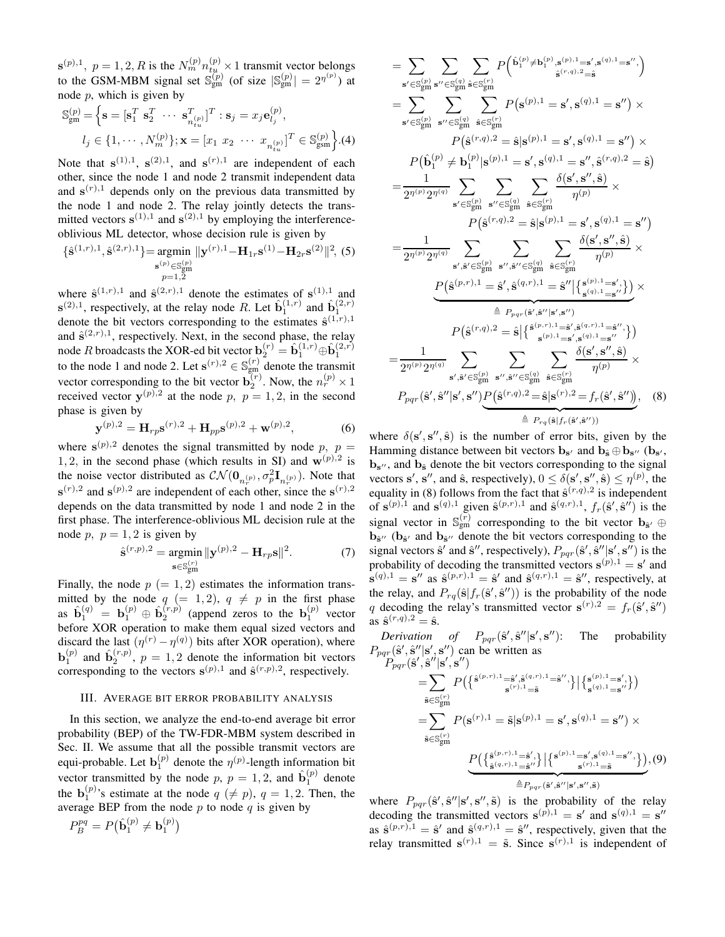$\mathbf{s}^{(p),1}, p = 1, 2, R$  is the  $N_m^{(p)} n_{t\mu}^{(p)} \times 1$  transmit vector belongs to the GSM-MBM signal set  $\mathbb{S}_{gm}^{(p)}$  (of size  $|\mathbb{S}_{gm}^{(p)}| = 2^{\eta^{(p)}}$ ) at node  $p$ , which is given by

$$
\mathbb{S}_{\text{gm}}^{(p)} = \left\{ \mathbf{s} = [\mathbf{s}_1^T \ \mathbf{s}_2^T \ \cdots \ \mathbf{s}_{n_{tu}}^T]^T : \mathbf{s}_j = x_j \mathbf{e}_{l_j}^{(p)}, \n l_j \in \{1, \cdots, N_m^{(p)}\}; \mathbf{x} = [x_1 \ x_2 \ \cdots \ x_{n_{tu}}^T]^T \in \mathbb{S}_{\text{gsm}}^{(p)}\right\}.
$$

Note that  $s^{(1),1}$ ,  $s^{(2),1}$ , and  $s^{(r),1}$  are independent of each other, since the node 1 and node 2 transmit independent data and  $\mathbf{s}^{(r),1}$  depends only on the previous data transmitted by the node 1 and node 2. The relay jointly detects the transmitted vectors  $s^{(1),1}$  and  $s^{(2),1}$  by employing the interferenceoblivious ML detector, whose decision rule is given by

$$
\{\hat{\mathbf{s}}^{(1,r),1},\hat{\mathbf{s}}^{(2,r),1}\} = \underset{\substack{\mathbf{s}^{(p)} \in \mathbb{S}_{gm}^{(p)} \\ p=1,2}}{\text{argmin}} \|\mathbf{y}^{(r),1} - \mathbf{H}_{1r}\mathbf{s}^{(1)} - \mathbf{H}_{2r}\mathbf{s}^{(2)}\|^2, \tag{5}
$$

where  $\hat{\mathbf{s}}^{(1,r),1}$  and  $\hat{\mathbf{s}}^{(2,r),1}$  denote the estimates of  $\mathbf{s}^{(1),1}$  and  $\mathbf{s}^{(2),1}$ , respectively, at the relay node R. Let  $\hat{\mathbf{b}}_1^{(1,r)}$  and  $\hat{\mathbf{b}}_1^{(2,r)}$ denote the bit vectors corresponding to the estimates  $\hat{\mathbf{s}}^{(1,r),1}$ and  $\hat{\mathbf{s}}^{(2,r),1}$ , respectively. Next, in the second phase, the relay node *R* broadcasts the XOR-ed bit vector  $\mathbf{b}_2^{(r)} = \hat{\mathbf{b}}_1^{(1,r)} \oplus \hat{\mathbf{b}}_1^{(2,r)}$  to the node 1 and node 2. Let  $\mathbf{s}^{(r),2} \in \mathbb{S}_{gm}^{(r)}$  denote the transmit vector corresponding to the bit vector  $\mathbf{b}_2^{(r)}$ . Now, the  $n_r^{(p)} \times 1$ received vector  $y^{(p),2}$  at the node p,  $p = 1, 2$ , in the second phase is given by

$$
\mathbf{y}^{(p),2} = \mathbf{H}_{rp} \mathbf{s}^{(r),2} + \mathbf{H}_{pp} \mathbf{s}^{(p),2} + \mathbf{w}^{(p),2},\tag{6}
$$

where  $s^{(p),2}$  denotes the signal transmitted by node p,  $p =$ 1, 2, in the second phase (which results in SI) and  $w^{(p),2}$  is the noise vector distributed as  $\mathcal{CN}(\mathbf{0}_{n_r^{(p)}}, \sigma_p^2 \mathbf{I}_{n_r^{(p)}})$ . Note that  $\mathbf{s}^{(r),2}$  and  $\mathbf{s}^{(p),2}$  are independent of each other, since the  $\mathbf{s}^{(r),2}$ depends on the data transmitted by node 1 and node 2 in the first phase. The interference-oblivious ML decision rule at the node p,  $p = 1, 2$  is given by

$$
\hat{\mathbf{s}}^{(r,p),2} = \underset{\mathbf{s} \in \mathbb{S}_{gm}^{(r)}}{\text{argmin}} ||\mathbf{y}^{(p),2} - \mathbf{H}_{rp}\mathbf{s}||^2. \tag{7}
$$

Finally, the node  $p (= 1, 2)$  estimates the information transmitted by the node  $q (= 1, 2), q \neq p$  in the first phase as  $\hat{\mathbf{b}}_1^{(q)} = \mathbf{b}_1^{(p)} \oplus \hat{\mathbf{b}}_2^{(r,p)}$  (append zeros to the  $\mathbf{b}_1^{(p)}$  vector before XOR operation to make them equal sized vectors and discard the last  $(\eta^{(r)} - \eta^{(q)})$  bits after XOR operation), where  $\mathbf{b}_1^{(p)}$  and  $\hat{\mathbf{b}}_2^{(r,p)}$ ,  $p = 1,2$  denote the information bit vectors corresponding to the vectors  $\mathbf{s}^{(p),1}$  and  $\hat{\mathbf{s}}^{(r,p),2}$ , respectively.

### III. AVERAGE BIT ERROR PROBABILITY ANALYSIS

In this section, we analyze the end-to-end average bit error probability (BEP) of the TW-FDR-MBM system described in Sec. II. We assume that all the possible transmit vectors are equi-probable. Let  $\mathbf{b}_1^{(p)}$  denote the  $\eta^{(p)}$ -length information bit vector transmitted by the node p,  $p = 1, 2$ , and  $\hat{\mathbf{b}}_1^{(p)}$  denote the  $\mathbf{b}_1^{(p)}$ 's estimate at the node  $q \ (\neq p)$ ,  $q = 1, 2$ . Then, the average BEP from the node  $p$  to node  $q$  is given by

$$
P^{pq}_B = P(\hat{\mathbf{b}}_1^{(p)} \neq \mathbf{b}_1^{(p)})
$$

$$
= \sum_{\mathbf{s}' \in \mathcal{S}_{gm}^{(p)}} \sum_{\mathbf{s}' \in \mathcal{S}_{gm}^{(q)}} \sum_{\hat{\mathbf{s}} \in \mathcal{S}_{gm}^{(r)}} P(\hat{\mathbf{b}}_{1}^{(p)} \neq \mathbf{b}_{1}^{(p)}, \mathbf{s}^{(p),1} = \mathbf{s}', \mathbf{s}^{(q),1} = \mathbf{s}'',
$$
\n
$$
= \sum_{\mathbf{s}' \in \mathcal{S}_{gm}^{(p)}} \sum_{\mathbf{s}'' \in \mathcal{S}_{gm}^{(q)}} \sum_{\hat{\mathbf{s}} \in \mathcal{S}_{gm}^{(r)}} P(\mathbf{s}^{(p),1} = \mathbf{s}', \mathbf{s}^{(q),1} = \mathbf{s}'') \times P(\hat{\mathbf{b}}_{1}^{(p)} \neq \mathbf{b}_{1}^{(p)} | \mathbf{s}^{(p),1} = \mathbf{s}', \mathbf{s}^{(q),1} = \mathbf{s}', \hat{\mathbf{s}}^{(r,q),2} = \hat{\mathbf{s}})
$$
\n
$$
= \frac{1}{2\eta^{(p)} 2\eta^{(q)}} \sum_{\mathbf{s}' \in \mathcal{S}_{gm}^{(p)}} \sum_{\mathbf{s}'' \in \mathcal{S}_{gm}^{(q)}} \sum_{\hat{\mathbf{s}} \in \mathcal{S}_{gm}^{(r)}} \frac{\delta(\mathbf{s}', \mathbf{s}'', \hat{\mathbf{s}})}{\eta^{(p)}} \times P(\hat{\mathbf{s}}^{(r,q),2} = \hat{\mathbf{s}} | \mathbf{s}^{(p),1} = \mathbf{s}', \mathbf{s}^{(q),1} = \mathbf{s}'')
$$
\n
$$
= \frac{1}{2\eta^{(p)} 2\eta^{(q)}} \sum_{\mathbf{s}', \hat{\mathbf{s}}' \in \mathcal{S}_{gm}^{(p)}} \sum_{\mathbf{s}'', \hat{\mathbf{s}}'' \in \mathcal{S}_{gm}^{(q)}} \sum_{\hat{\mathbf{s}} \in \mathcal{S}_{gm}^{(r)}} \sum_{\hat{\mathbf{s}} \in \mathcal{S}_{gm}^{(r)}} \frac{\delta(\mathbf{s}', \mathbf{s}'', \hat{\mathbf{s}})}{\eta^{(p)}} \times P(\hat{\mathbf{s}}^{(p,r),1} = \hat{\mathbf{s}}', \hat{\mathbf{s}}^{(q,r),1} = \hat{\mathbf{s}}'' | \{\mathbf{s}^{(p),
$$

where  $\delta(s', s'', \hat{s})$  is the number of error bits, given by the Hamming distance between bit vectors  $\mathbf{b}_{s'}$  and  $\mathbf{b}_{\hat{s}} \oplus \mathbf{b}_{s''}$  ( $\mathbf{b}_{s'}$ ,  $\mathbf{b}_{s''}$ , and  $\mathbf{b}_{\hat{s}}$  denote the bit vectors corresponding to the signal vectors s', s'', and  $\hat{\mathbf{s}}$ , respectively),  $0 \leq \delta(\mathbf{s}', \mathbf{s}'', \hat{\mathbf{s}}) \leq \eta^{(p)}$ , the equality in (8) follows from the fact that  $\hat{\mathbf{s}}^{(r,q),2}$  is independent of  $\mathbf{s}^{(p),1}$  and  $\mathbf{s}^{(q),1}$  given  $\hat{\mathbf{s}}^{(p,r),1}$  and  $\hat{\mathbf{s}}^{(q,r),1}$ ,  $f_r(\hat{\mathbf{s}}', \hat{\mathbf{s}}'')$  is the signal vector in  $\mathbb{S}_{gm}^{(r)}$  corresponding to the bit vector  $\mathbf{b}_{\hat{\mathbf{s}}'} \oplus$  $\mathbf{b}_{\hat{\mathbf{s}}''}$  ( $\mathbf{b}_{\hat{\mathbf{s}}'}$  and  $\mathbf{b}_{\hat{\mathbf{s}}''}$  denote the bit vectors corresponding to the signal vectors  $\hat{\mathbf{s}}'$  and  $\hat{\mathbf{s}}''$ , respectively),  $P_{pqr}(\hat{\mathbf{s}}', \hat{\mathbf{s}}'' | \mathbf{s}', \mathbf{s}'')$  is the probability of decoding the transmitted vectors  $\mathbf{s}^{(p),1} = \mathbf{s}'$  and  $\mathbf{s}^{(q),1} = \mathbf{s}''$  as  $\hat{\mathbf{s}}^{(p,r),1} = \hat{\mathbf{s}}'$  and  $\hat{\mathbf{s}}^{(q,r),1} = \hat{\mathbf{s}}''$ , respectively, at the relay, and  $P_{rq}(\hat{\mathbf{s}} | f_r(\hat{\mathbf{s}}', \hat{\mathbf{s}}''))$  is the probability of the node q decoding the relay's transmitted vector  $\mathbf{s}^{(r),2} = f_r(\hat{\mathbf{s}}', \hat{\mathbf{s}}'')$ as  $\hat{\mathbf{s}}^{(r,q),2} = \hat{\mathbf{s}}$ .

*Derivation of*  $P_{pqr}(\hat{\mathbf{s}}', \hat{\mathbf{s}}'' | \mathbf{s}', \mathbf{s})$ The probability  $P_{pqr}(\hat{\mathbf{s}}', \hat{\mathbf{s}}'' | \mathbf{s}', \mathbf{s}'')$  can be written as

$$
P_{pqr}(\hat{\mathbf{s}}', \hat{\mathbf{s}}' | \mathbf{s}', \mathbf{s}'') = \sum_{\tilde{\mathbf{s}} \in S_{gm}^{(r)}} P(\{\hat{\mathbf{s}}^{(p,r),1} = \hat{\mathbf{s}}', \hat{\mathbf{s}}^{(q,r),1} = \hat{\mathbf{s}}''\}\| \{\mathbf{s}_{s}^{(p),1} = \mathbf{s}'\}\)
$$
  
\n
$$
= \sum_{\tilde{\mathbf{s}} \in S_{gm}^{(r)}} P(\mathbf{s}^{(r),1} = \tilde{\mathbf{s}} | \mathbf{s}^{(p),1} = \mathbf{s}', \mathbf{s}^{(q),1} = \mathbf{s}'') \times
$$
  
\n
$$
\frac{P(\{\hat{\mathbf{s}}^{(p,r),1} = \hat{\mathbf{s}}'\}\| \{\mathbf{s}^{(p),1} = \mathbf{s}', \mathbf{s}^{(q),1} = \mathbf{s}''\})}{\sum_{\hat{\mathbf{s}} \in S_{gm}^{(q,r),1} = \hat{\mathbf{s}}'\}} \|\{\mathbf{s}^{(p),1} = \mathbf{s}', \mathbf{s}^{(q),1} = \mathbf{s}''\}\}}(9)
$$

where  $P_{pqr}(\hat{\mathbf{s}}', \hat{\mathbf{s}}'' | \mathbf{s}', \mathbf{s}'', \tilde{\mathbf{s}})$  is the probability of the relay decoding the transmitted vectors  $\mathbf{s}^{(p),1} = \mathbf{s}'$  and  $\mathbf{s}^{(q),1} = \mathbf{s}''$ as  $\hat{\mathbf{s}}^{(p,r),1} = \hat{\mathbf{s}}'$  and  $\hat{\mathbf{s}}^{(q,r),1} = \hat{\mathbf{s}}''$ , respectively, given that the relay transmitted  $\mathbf{s}^{(r),1} = \tilde{\mathbf{s}}$ . Since  $\mathbf{s}^{(r),1}$  is independent of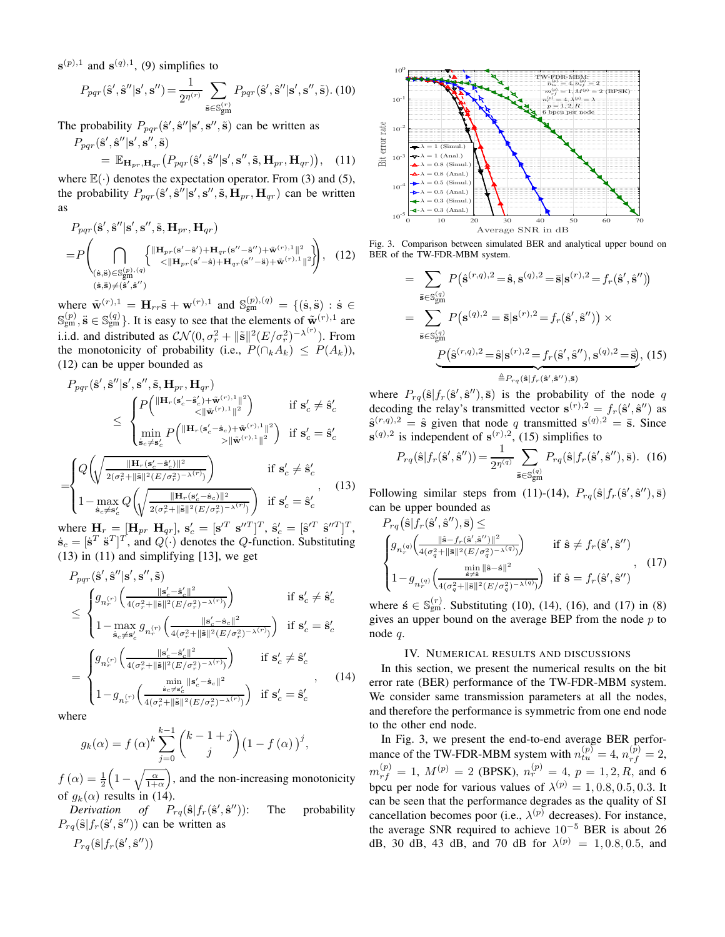$\mathbf{s}^{(p),1}$  and  $\mathbf{s}^{(q),1}$ , (9) simplifies to

$$
P_{pqr}(\hat{\mathbf{s}}',\hat{\mathbf{s}}''|\mathbf{s}',\mathbf{s}'') = \frac{1}{2^{\eta^{(r)}}} \sum_{\tilde{\mathbf{s}} \in \mathbb{S}_{gm}^{(r)}} P_{pqr}(\hat{\mathbf{s}}',\hat{\mathbf{s}}''|\mathbf{s}',\mathbf{s}'',\tilde{\mathbf{s}}). \tag{10}
$$

The probability  $P_{pqr}(\hat{\mathbf{s}}', \hat{\mathbf{s}}'' | \mathbf{s}', \mathbf{s}'', \tilde{\mathbf{s}})$  can be written as  $P_{pqr}(\hat{\mathbf{s}}',\hat{\mathbf{s}}''|\mathbf{s}',\mathbf{s}'',\tilde{\mathbf{s}})$ 

$$
= \mathbb{E}_{\mathbf{H}_{pr},\mathbf{H}_{qr}}(P_{pqr}(\hat{\mathbf{s}}', \hat{\mathbf{s}}''|\mathbf{s}', \mathbf{s}'', \tilde{\mathbf{s}}, \mathbf{H}_{pr}, \mathbf{H}_{qr}))
$$
, (11)

where  $\mathbb{E}(\cdot)$  denotes the expectation operator. From (3) and (5), the probability  $P_{pqr}(\hat{\mathbf{s}}', \hat{\mathbf{s}}'' | \mathbf{s}', \hat{\mathbf{s}}', \tilde{\mathbf{H}}_{pr}, \mathbf{H}_{qr})$  can be written as

$$
P_{pqr}(\hat{\mathbf{s}}', \hat{\mathbf{s}}''|\mathbf{s}', \mathbf{s}', \tilde{\mathbf{s}}, \mathbf{H}_{pr}, \mathbf{H}_{qr})
$$
\n
$$
= P\left(\bigcap_{\substack{\hat{\mathbf{s}}, \hat{\mathbf{s}} \in \mathbb{S}_{\text{gm}}^{(p), (q)}}} \left\{\begin{array}{l}\|\mathbf{H}_{pr}(\mathbf{s}'-\hat{\mathbf{s}}') + \mathbf{H}_{qr}(\mathbf{s}''-\hat{\mathbf{s}}'') + \tilde{\mathbf{w}}^{(r), 1} \|^2\\& & & & & & & \\
(\hat{\mathbf{s}}, \hat{\mathbf{s}}) \in \mathbb{S}_{\text{gm}}^{(p), (q)}}\end{array}\right\}, \quad (12)
$$
\n
$$
(\hat{\mathbf{s}}, \hat{\mathbf{s}}) \neq (\hat{\mathbf{s}}', \hat{\mathbf{s}}'')
$$

where  $\tilde{\mathbf{w}}^{(r),1} = \mathbf{H}_{rr}\tilde{\mathbf{s}} + \mathbf{w}^{(r),1}$  and  $\mathbb{S}_{gm}^{(p),(q)} = \{(\dot{\mathbf{s}}, \ddot{\mathbf{s}}) : \dot{\mathbf{s}} \in$  $\mathbb{S}_{gm}^{(p)}$ ,  $\ddot{\mathbf{s}} \in \mathbb{S}_{gm}^{(q)}$ . It is easy to see that the elements of  $\tilde{\mathbf{w}}^{(r),1}$  are i.i.d. and distributed as  $\mathcal{CN}(0, \sigma_r^2 + ||\tilde{\mathbf{s}}||^2 (E/\sigma_r^2)^{-\lambda^{(r)}})$ . From the monotonicity of probability (i.e.,  $P(\bigcap_k A_k) \leq P(A_k)$ ), (12) can be upper bounded as

$$
P_{pqr}(\hat{\mathbf{s}}',\hat{\mathbf{s}}''|\mathbf{s}',\mathbf{s}',\tilde{\mathbf{s}},\mathbf{H}_{pr},\mathbf{H}_{qr})
$$
\n
$$
\leq \begin{cases} P\left(\frac{\|\mathbf{H}_{r}(\mathbf{s}'_{c}-\hat{\mathbf{s}}'_{c})+\tilde{\mathbf{w}}^{(r),1}\|^{2}}{<\|\tilde{\mathbf{w}}^{(r),1}\|^{2}}\right) & \text{if } \mathbf{s}'_{c} \neq \hat{\mathbf{s}}'_{c} \\ \min_{\hat{\mathbf{s}}_{c}\neq \mathbf{s}'_{c}} P\left(\frac{\|\mathbf{H}_{r}(\mathbf{s}'_{c}-\hat{\mathbf{s}}_{c})+\tilde{\mathbf{w}}^{(r),1}\|^{2}}{> \|\tilde{\mathbf{w}}^{(r),1}\|^{2}}\right) & \text{if } \mathbf{s}'_{c} = \hat{\mathbf{s}}'_{c} \end{cases}
$$
\n
$$
= \begin{cases} Q\left(\sqrt{\frac{\|\mathbf{H}_{r}(\mathbf{s}'_{c}-\hat{\mathbf{s}}'_{c})\|^{2}}{2(\sigma_{r}^{2}+\|\tilde{\mathbf{s}}\|^{2}(E/\sigma_{r}^{2})^{-\lambda(r)}}\right)} & \text{if } \mathbf{s}'_{c} \neq \hat{\mathbf{s}}'_{c} \\ 1 - \max_{\hat{\mathbf{s}}_{c}\neq \mathbf{s}'_{c}} Q\left(\sqrt{\frac{\|\mathbf{H}_{r}(\mathbf{s}'_{c}-\hat{\mathbf{s}}_{c})\|^{2}}{2(\sigma_{r}^{2}+\|\tilde{\mathbf{s}}\|^{2}(E/\sigma_{r}^{2})^{-\lambda(r)}}\right)} & \text{if } \mathbf{s}'_{c} = \hat{\mathbf{s}}'_{c} \end{cases}, \tag{13}
$$

where  $\mathbf{H}_r = [\mathbf{H}_{pr} \ \mathbf{H}_{qr}], \ \mathbf{s}'_c = [\mathbf{s}'^T \ \mathbf{s}''^T]^T, \ \hat{\mathbf{s}}'_c = [\hat{\mathbf{s}}^T \ \hat{\mathbf{s}}''^T]^T,$  $\dot{\mathbf{s}}_c = [\dot{\mathbf{s}}^T \ \ddot{\mathbf{s}}^T]^T$ , and  $Q(\cdot)$  denotes the  $Q$ -function. Substituting  $(13)$  in  $(11)$  and simplifying [13], we get

$$
P_{pqr}(\hat{\mathbf{s}}', \hat{\mathbf{s}}'' | \mathbf{s}', \mathbf{s}'', \tilde{\mathbf{s}})
$$
\n
$$
\leq \begin{cases} g_{n_r^{(r)}}\left(\frac{\|\mathbf{s}'_c - \hat{\mathbf{s}}'_c\|^2}{4(\sigma_r^2 + \|\tilde{\mathbf{s}}\|^2 (E/\sigma_r^2) - \lambda^{(r)})}\right) & \text{if } \mathbf{s}'_c \neq \hat{\mathbf{s}}'_c\\ 1 - \max_{\hat{\mathbf{s}}_c \neq \mathbf{s}'_c} g_{n_r^{(r)}}\left(\frac{\|\mathbf{s}'_c - \hat{\mathbf{s}}_c\|^2}{4(\sigma_r^2 + \|\tilde{\mathbf{s}}\|^2 (E/\sigma_r^2) - \lambda^{(r)})}\right) & \text{if } \mathbf{s}'_c = \hat{\mathbf{s}}'_c\\ \end{cases}
$$
\n
$$
= \begin{cases} g_{n_r^{(r)}}\left(\frac{\|\mathbf{s}'_c - \hat{\mathbf{s}}'_c\|^2}{4(\sigma_r^2 + \|\tilde{\mathbf{s}}\|^2 (E/\sigma_r^2) - \lambda^{(r)})}\right) & \text{if } \mathbf{s}'_c \neq \hat{\mathbf{s}}'_c\\ 1 - g_{n_r^{(r)}}\left(\frac{\min\limits_{\hat{\mathbf{s}}_c \neq \hat{\mathbf{s}}'_c} \|\mathbf{s}'_c - \hat{\mathbf{s}}_c\|^2}{4(\sigma_r^2 + \|\tilde{\mathbf{s}}\|^2 (E/\sigma_r^2) - \lambda^{(r)})}\right) & \text{if } \mathbf{s}'_c = \hat{\mathbf{s}}'_c \end{cases}, \tag{14}
$$

where

$$
g_k(\alpha) = f(\alpha)^k \sum_{j=0}^{k-1} {k-1+j \choose j} (1 - f(\alpha))^j,
$$

 $f(\alpha) = \frac{1}{2} \left( 1 - \sqrt{\frac{\alpha}{1+\alpha}} \right)$ , and the non-increasing monotonicity of  $q_k(\alpha)$  results in (14).

 $Derivation$  of  $P_{rq}(\hat{\mathbf{s}}|f_r(\hat{\mathbf{s}}', \hat{\mathbf{s}}))$ The probability  $P_{rq}(\hat{\mathbf{s}} | f_r(\hat{\mathbf{s}}', \hat{\mathbf{s}}''))$  can be written as

 $P_{rq}(\hat{\mathbf{s}}|f_r(\hat{\mathbf{s}}', \hat{\mathbf{s}}''))$ 



Fig. 3. Comparison between simulated BER and analytical upper bound on BER of the TW-FDR-MBM system.

$$
= \sum_{\bar{s}\in S_{gm}^{(q)}} P(\hat{s}^{(r,q),2} = \hat{s}, s^{(q),2} = \bar{s}|s^{(r),2} = f_r(\hat{s}', \hat{s}'')|
$$
  

$$
= \sum_{\bar{s}\in S_{gm}^{(q)}} P(s^{(q),2} = \bar{s}|s^{(r),2} = f_r(\hat{s}', \hat{s}'')) \times
$$
  

$$
P(\hat{s}^{(r,q),2} = \hat{s}|s^{(r),2} = f_r(\hat{s}', \hat{s}''), s^{(q),2} = \bar{s}), (15)
$$
  

$$
\triangleq P_{rq}(\hat{s}|f_r(\hat{s}', \hat{s}''), \bar{s})
$$

where  $P_{rq}(\hat{\mathbf{s}}|f_r(\hat{\mathbf{s}}', \hat{\mathbf{s}}''), \overline{\mathbf{s}})$  is the probability of the node q decoding the relay's transmitted vector  $\mathbf{s}^{(r),2} = f_r(\hat{\mathbf{s}}', \hat{\mathbf{s}}'')$  as  $\hat{\mathbf{s}}^{(r,q),2} = \hat{\mathbf{s}}$  given that node q transmitted  $\mathbf{s}^{(q),2} = \bar{\mathbf{s}}$ . Since  $\mathbf{s}^{(q),2}$  is independent of  $\mathbf{s}^{(r),2}$ , (15) simplifies to

$$
P_{rq}(\hat{\mathbf{s}}|f_r(\hat{\mathbf{s}}',\hat{\mathbf{s}}'')) = \frac{1}{2^{\eta^{(q)}}} \sum_{\bar{\mathbf{s}} \in \mathbb{S}_{gm}^{(q)}} P_{rq}(\hat{\mathbf{s}}|f_r(\hat{\mathbf{s}}',\hat{\mathbf{s}}''),\bar{\mathbf{s}}). \tag{16}
$$

Following similar steps from (11)-(14),  $P_{rq}(\hat{s}|f_r(\hat{s}', \hat{s}''), \bar{s})$ can be upper bounded as

$$
P_{rq}\left(\hat{\mathbf{s}}|f_r(\hat{\mathbf{s}}',\hat{\mathbf{s}}'') ,\bar{\mathbf{s}}\right) \leq
$$
\n
$$
\begin{cases}\ng_{n_r^{(q)}}\left(\frac{\|\hat{\mathbf{s}}-f_r(\hat{\mathbf{s}}',\hat{\mathbf{s}}'')\|^2}{4(\sigma_q^2+\|\bar{\mathbf{s}}\|^2(E/\sigma_q^2)^{-\lambda(q)})}\right) & \text{if } \hat{\mathbf{s}} \neq f_r(\hat{\mathbf{s}}',\hat{\mathbf{s}}'')\\
1-g_{n_r^{(q)}}\left(\frac{\min\limits_{\hat{\mathbf{s}}\neq\hat{\mathbf{s}}}\|\hat{\mathbf{s}}-\hat{\mathbf{s}}\|^2}{4(\sigma_q^2+\|\bar{\mathbf{s}}\|^2(E/\sigma_q^2)^{-\lambda(q)})}\right) & \text{if } \hat{\mathbf{s}}=f_r(\hat{\mathbf{s}}',\hat{\mathbf{s}}'')\n\end{cases},
$$
\n(17)

where  $\acute{\mathbf{s}} \in \mathbb{S}_{gm}^{(r)}$ . Substituting (10), (14), (16), and (17) in (8) gives an upper bound on the average BEP from the node  $p$  to node q.

#### IV. NUMERICAL RESULTS AND DISCUSSIONS

In this section, we present the numerical results on the bit error rate (BER) performance of the TW-FDR-MBM system. We consider same transmission parameters at all the nodes, and therefore the performance is symmetric from one end node to the other end node.

In Fig. 3, we present the end-to-end average BER performance of the TW-FDR-MBM system with  $n_{tu}^{(p)} = 4$ ,  $n_{rf}^{(p)} = 2$ ,  $m_{rf}^{(p)} = 1, M^{(p)} = 2$  (BPSK),  $n_r^{(p)} = 4, p = 1, 2, R$ , and 6 bpcu per node for various values of  $\lambda^{(p)} = 1, 0.8, 0.5, 0.3$ . It can be seen that the performance degrades as the quality of SI cancellation becomes poor (i.e.,  $\lambda^{(p)}$  decreases). For instance, the average SNR required to achieve 10<sup>−</sup><sup>5</sup> BER is about 26 dB, 30 dB, 43 dB, and 70 dB for  $\lambda^{(p)} = 1, 0.8, 0.5,$  and